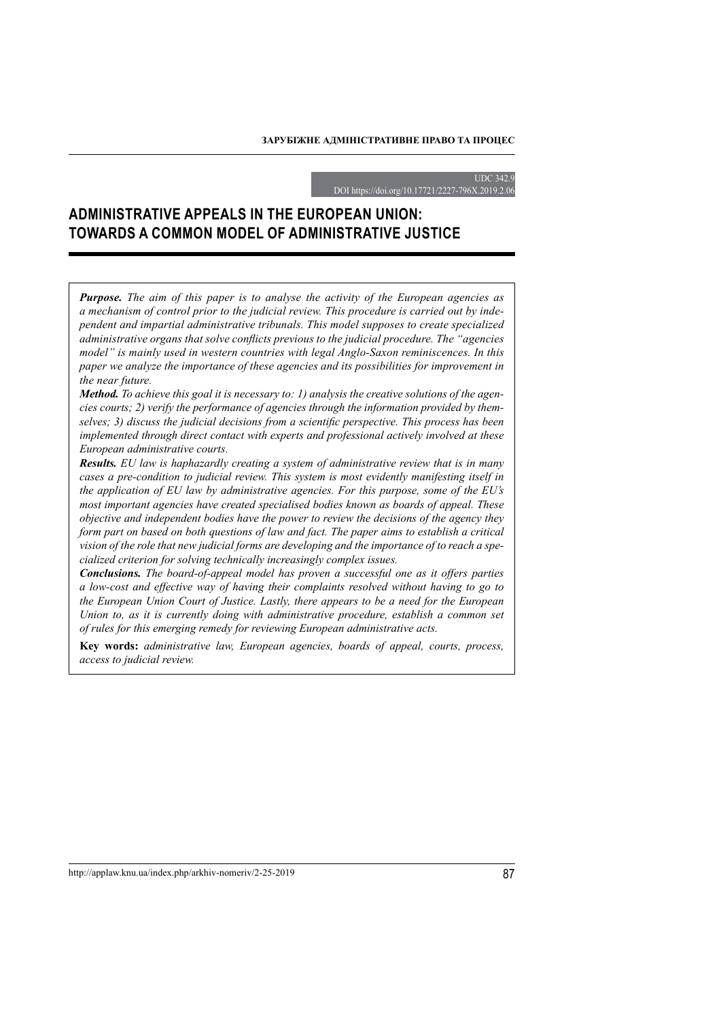#### **UDC 342**

DOI https://doi.org/10.17721/2227-796X.2019.2.06

# **Administrative appeals in the European Union: towards a common model of administrative justice**

*Purpose. The aim of this paper is to analyse the activity of the European agencies as a mechanism of control prior to the judicial review. This procedure is carried out by independent and impartial administrative tribunals. This model supposes to create specialized administrative organs that solve conflicts previous to the judicial procedure. The "agencies model" is mainly used in western countries with legal Anglo-Saxon reminiscences. In this paper we analyze the importance of these agencies and its possibilities for improvement in the near future.*

*Method. To achieve this goal it is necessary to: 1) analysis the creative solutions of the agencies courts; 2) verify the performance of agencies through the information provided by themselves; 3) discuss the judicial decisions from a scientific perspective. This process has been implemented through direct contact with experts and professional actively involved at these European administrative courts.*

*Results. EU law is haphazardly creating a system of administrative review that is in many cases a pre-condition to judicial review. This system is most evidently manifesting itself in the application of EU law by administrative agencies. For this purpose, some of the EU's most important agencies have created specialised bodies known as boards of appeal. These objective and independent bodies have the power to review the decisions of the agency they form part on based on both questions of law and fact. The paper aims to establish a critical vision of the role that new judicial forms are developing and the importance of to reach a specialized criterion for solving technically increasingly complex issues.*

*Conclusions. The board-of-appeal model has proven a successful one as it offers parties a low-cost and effective way of having their complaints resolved without having to go to the European Union Court of Justice. Lastly, there appears to be a need for the European Union to, as it is currently doing with administrative procedure, establish a common set of rules for this emerging remedy for reviewing European administrative acts.*

**Key words:** *administrative law, European agencies, boards of appeal, courts, process, access to judicial review.*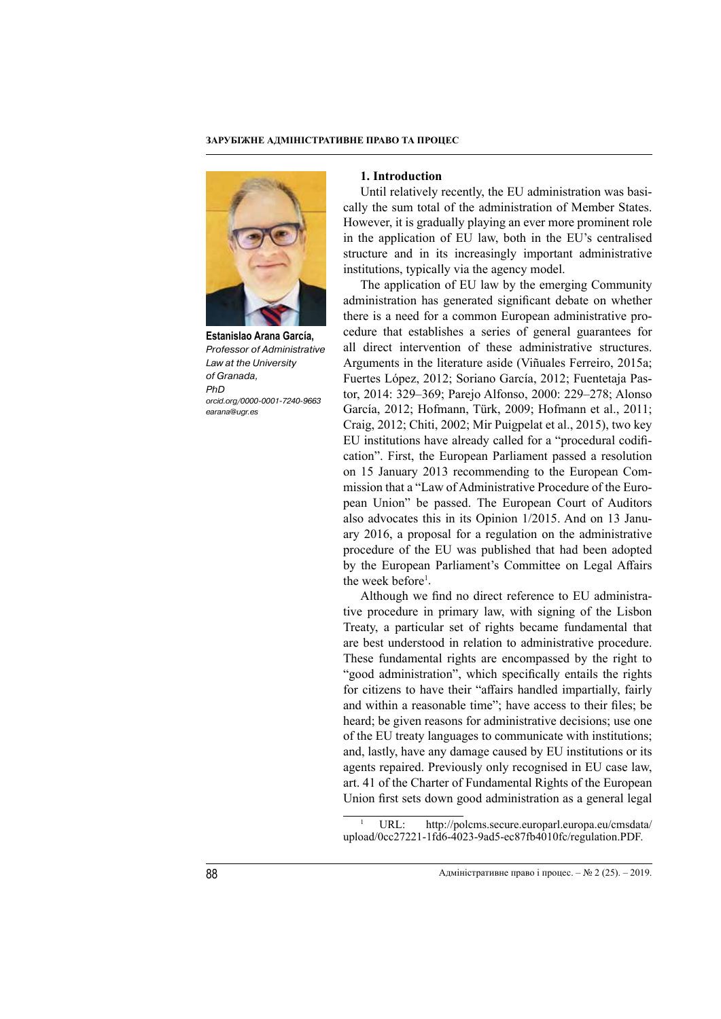

**Estanislao Arana García,** *Professor of Administrative Law at the University of Granada, PhD orcid.org/0000-0001-7240-9663 earana@ugr.es*

#### **1. Introduction**

Until relatively recently, the EU administration was basically the sum total of the administration of Member States. However, it is gradually playing an ever more prominent role in the application of EU law, both in the EU's centralised structure and in its increasingly important administrative institutions, typically via the agency model.

The application of EU law by the emerging Community administration has generated significant debate on whether there is a need for a common European administrative procedure that establishes a series of general guarantees for all direct intervention of these administrative structures. Arguments in the literature aside (Viñuales Ferreiro, 2015a; Fuertes López, 2012; Soriano García, 2012; Fuentetaja Pastor, 2014: 329–369; Parejo Alfonso, 2000: 229–278; Alonso García, 2012; Hofmann, Türk, 2009; Hofmann et al., 2011; Craig, 2012; Chiti, 2002; Mir Puigpelat et al., 2015), two key EU institutions have already called for a "procedural codification". First, the European Parliament passed a resolution on 15 January 2013 recommending to the European Commission that a "Law of Administrative Procedure of the European Union" be passed. The European Court of Auditors also advocates this in its Opinion 1/2015. And on 13 January 2016, a proposal for a regulation on the administrative procedure of the EU was published that had been adopted by the European Parliament's Committee on Legal Affairs the week before<sup>1</sup>.

Although we find no direct reference to EU administrative procedure in primary law, with signing of the Lisbon Treaty, a particular set of rights became fundamental that are best understood in relation to administrative procedure. These fundamental rights are encompassed by the right to "good administration", which specifically entails the rights for citizens to have their "affairs handled impartially, fairly and within a reasonable time"; have access to their files; be heard; be given reasons for administrative decisions; use one of the EU treaty languages to communicate with institutions; and, lastly, have any damage caused by EU institutions or its agents repaired. Previously only recognised in EU case law, art. 41 of the Charter of Fundamental Rights of the European Union first sets down good administration as a general legal

URL: http://polcms.secure.europarl.europa.eu/cmsdata/ upload/0cc27221-1fd6-4023-9ad5-ec87fb4010fc/regulation.PDF.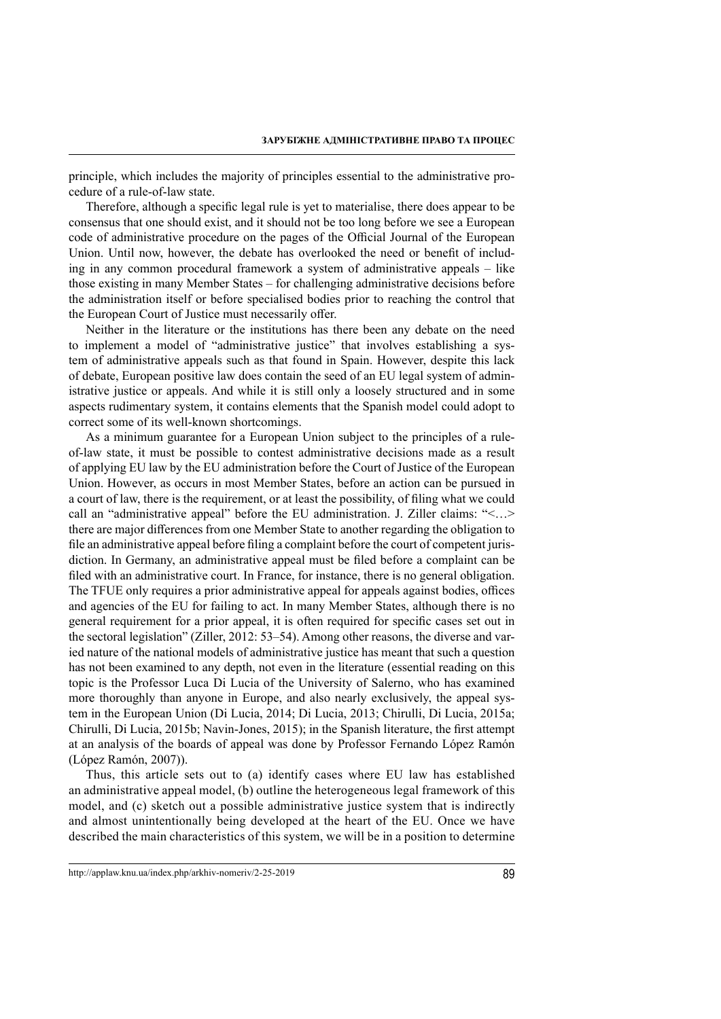principle, which includes the majority of principles essential to the administrative procedure of a rule-of-law state.

Therefore, although a specific legal rule is yet to materialise, there does appear to be consensus that one should exist, and it should not be too long before we see a European code of administrative procedure on the pages of the Official Journal of the European Union. Until now, however, the debate has overlooked the need or benefit of including in any common procedural framework a system of administrative appeals – like those existing in many Member States – for challenging administrative decisions before the administration itself or before specialised bodies prior to reaching the control that the European Court of Justice must necessarily offer.

Neither in the literature or the institutions has there been any debate on the need to implement a model of "administrative justice" that involves establishing a system of administrative appeals such as that found in Spain. However, despite this lack of debate, European positive law does contain the seed of an EU legal system of administrative justice or appeals. And while it is still only a loosely structured and in some aspects rudimentary system, it contains elements that the Spanish model could adopt to correct some of its well-known shortcomings.

As a minimum guarantee for a European Union subject to the principles of a ruleof-law state, it must be possible to contest administrative decisions made as a result of applying EU law by the EU administration before the Court of Justice of the European Union. However, as occurs in most Member States, before an action can be pursued in a court of law, there is the requirement, or at least the possibility, of filing what we could call an "administrative appeal" before the EU administration. J. Ziller claims: "<…> there are major differences from one Member State to another regarding the obligation to file an administrative appeal before filing a complaint before the court of competent jurisdiction. In Germany, an administrative appeal must be filed before a complaint can be filed with an administrative court. In France, for instance, there is no general obligation. The TFUE only requires a prior administrative appeal for appeals against bodies, offices and agencies of the EU for failing to act. In many Member States, although there is no general requirement for a prior appeal, it is often required for specific cases set out in the sectoral legislation" (Ziller, 2012: 53–54). Among other reasons, the diverse and varied nature of the national models of administrative justice has meant that such a question has not been examined to any depth, not even in the literature (essential reading on this topic is the Professor Luca Di Lucia of the University of Salerno, who has examined more thoroughly than anyone in Europe, and also nearly exclusively, the appeal system in the European Union (Di Lucia, 2014; Di Lucia, 2013; Chirulli, Di Lucia, 2015a; Chirulli, Di Lucia, 2015b; Navin-Jones, 2015); in the Spanish literature, the first attempt at an analysis of the boards of appeal was done by Professor Fernando López Ramón (López Ramón, 2007)).

Thus, this article sets out to (a) identify cases where EU law has established an administrative appeal model, (b) outline the heterogeneous legal framework of this model, and (c) sketch out a possible administrative justice system that is indirectly and almost unintentionally being developed at the heart of the EU. Once we have described the main characteristics of this system, we will be in a position to determine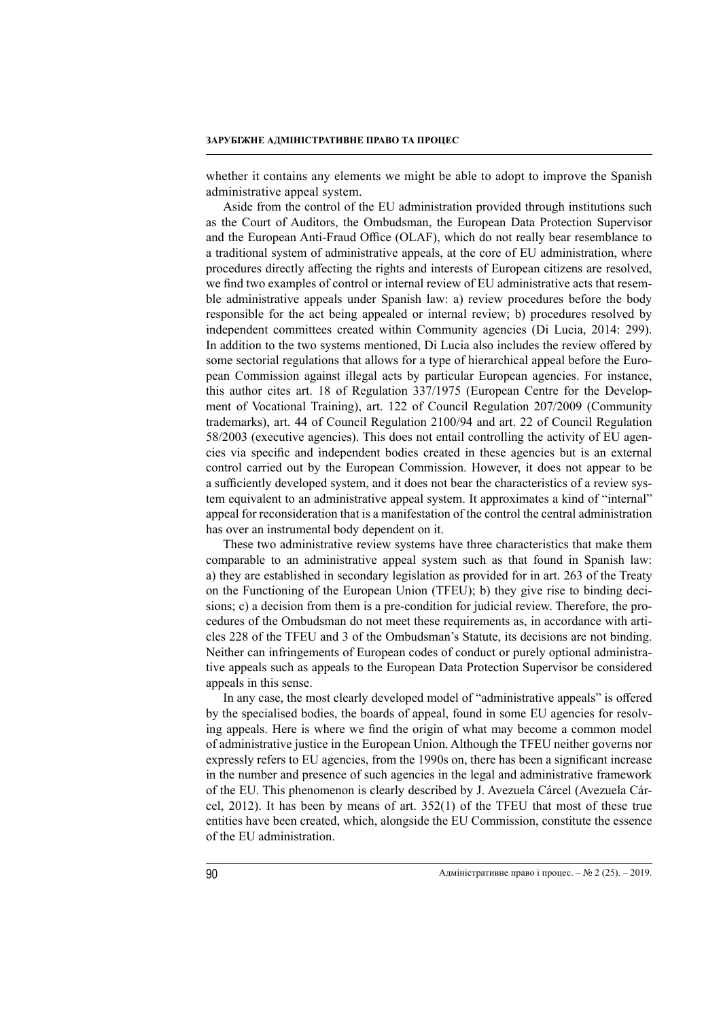whether it contains any elements we might be able to adopt to improve the Spanish administrative appeal system.

Aside from the control of the EU administration provided through institutions such as the Court of Auditors, the Ombudsman, the European Data Protection Supervisor and the European Anti-Fraud Office (OLAF), which do not really bear resemblance to a traditional system of administrative appeals, at the core of EU administration, where procedures directly affecting the rights and interests of European citizens are resolved, we find two examples of control or internal review of EU administrative acts that resemble administrative appeals under Spanish law: a) review procedures before the body responsible for the act being appealed or internal review; b) procedures resolved by independent committees created within Community agencies (Di Lucia, 2014: 299). In addition to the two systems mentioned, Di Lucia also includes the review offered by some sectorial regulations that allows for a type of hierarchical appeal before the European Commission against illegal acts by particular European agencies. For instance, this author cites art. 18 of Regulation 337/1975 (European Centre for the Development of Vocational Training), art. 122 of Council Regulation 207/2009 (Community trademarks), art. 44 of Council Regulation 2100/94 and art. 22 of Council Regulation 58/2003 (executive agencies). This does not entail controlling the activity of EU agencies via specific and independent bodies created in these agencies but is an external control carried out by the European Commission. However, it does not appear to be a sufficiently developed system, and it does not bear the characteristics of a review system equivalent to an administrative appeal system. It approximates a kind of "internal" appeal for reconsideration that is a manifestation of the control the central administration has over an instrumental body dependent on it.

These two administrative review systems have three characteristics that make them comparable to an administrative appeal system such as that found in Spanish law: a) they are established in secondary legislation as provided for in art. 263 of the Treaty on the Functioning of the European Union (TFEU); b) they give rise to binding decisions; c) a decision from them is a pre-condition for judicial review. Therefore, the procedures of the Ombudsman do not meet these requirements as, in accordance with articles 228 of the TFEU and 3 of the Ombudsman's Statute, its decisions are not binding. Neither can infringements of European codes of conduct or purely optional administrative appeals such as appeals to the European Data Protection Supervisor be considered appeals in this sense.

In any case, the most clearly developed model of "administrative appeals" is offered by the specialised bodies, the boards of appeal, found in some EU agencies for resolving appeals. Here is where we find the origin of what may become a common model of administrative justice in the European Union. Although the TFEU neither governs nor expressly refers to EU agencies, from the 1990s on, there has been a significant increase in the number and presence of such agencies in the legal and administrative framework of the EU. This phenomenon is clearly described by J. Avezuela Cárcel (Avezuela Cárcel, 2012). It has been by means of art. 352(1) of the TFEU that most of these true entities have been created, which, alongside the EU Commission, constitute the essence of the EU administration.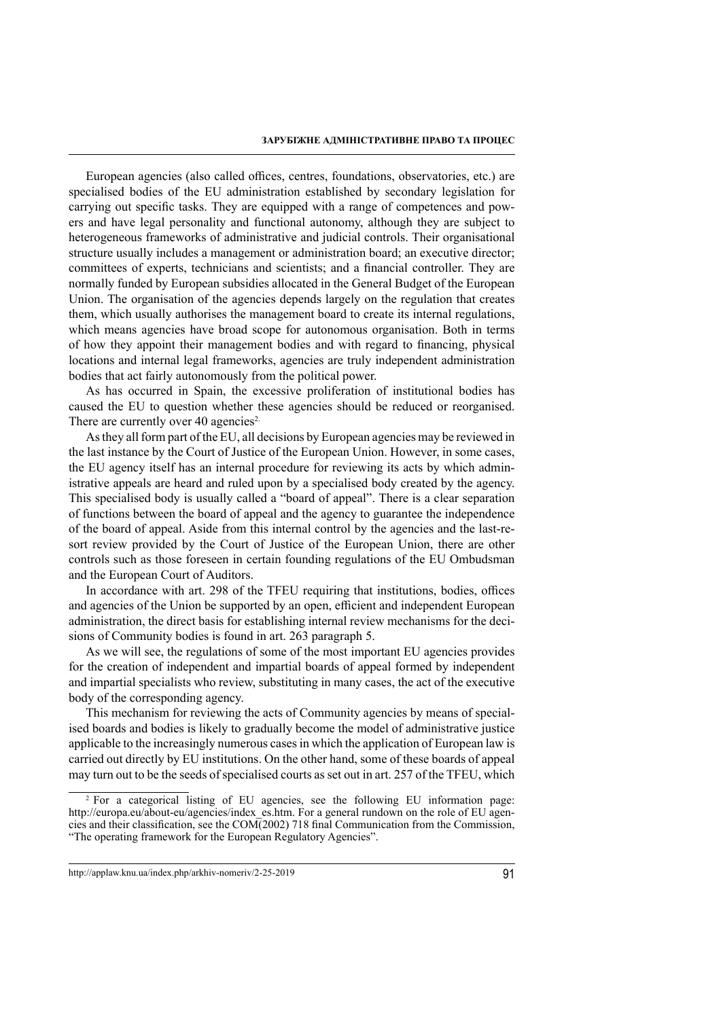European agencies (also called offices, centres, foundations, observatories, etc.) are specialised bodies of the EU administration established by secondary legislation for carrying out specific tasks. They are equipped with a range of competences and powers and have legal personality and functional autonomy, although they are subject to heterogeneous frameworks of administrative and judicial controls. Their organisational structure usually includes a management or administration board; an executive director; committees of experts, technicians and scientists; and a financial controller. They are normally funded by European subsidies allocated in the General Budget of the European Union. The organisation of the agencies depends largely on the regulation that creates them, which usually authorises the management board to create its internal regulations, which means agencies have broad scope for autonomous organisation. Both in terms of how they appoint their management bodies and with regard to financing, physical locations and internal legal frameworks, agencies are truly independent administration bodies that act fairly autonomously from the political power.

As has occurred in Spain, the excessive proliferation of institutional bodies has caused the EU to question whether these agencies should be reduced or reorganised. There are currently over 40 agencies<sup>2.</sup>

As they all form part of the EU, all decisions by European agencies may be reviewed in the last instance by the Court of Justice of the European Union. However, in some cases, the EU agency itself has an internal procedure for reviewing its acts by which administrative appeals are heard and ruled upon by a specialised body created by the agency. This specialised body is usually called a "board of appeal". There is a clear separation of functions between the board of appeal and the agency to guarantee the independence of the board of appeal. Aside from this internal control by the agencies and the last-resort review provided by the Court of Justice of the European Union, there are other controls such as those foreseen in certain founding regulations of the EU Ombudsman and the European Court of Auditors.

In accordance with art. 298 of the TFEU requiring that institutions, bodies, offices and agencies of the Union be supported by an open, efficient and independent European administration, the direct basis for establishing internal review mechanisms for the decisions of Community bodies is found in art. 263 paragraph 5.

As we will see, the regulations of some of the most important EU agencies provides for the creation of independent and impartial boards of appeal formed by independent and impartial specialists who review, substituting in many cases, the act of the executive body of the corresponding agency.

This mechanism for reviewing the acts of Community agencies by means of specialised boards and bodies is likely to gradually become the model of administrative justice applicable to the increasingly numerous cases in which the application of European law is carried out directly by EU institutions. On the other hand, some of these boards of appeal may turn out to be the seeds of specialised courts as set out in art. 257 of the TFEU, which

<sup>2</sup> For a categorical listing of EU agencies, see the following EU information page: http://europa.eu/about-eu/agencies/index\_es.htm. For a general rundown on the role of EU agencies and their classification, see the COM(2002) 718 final Communication from the Commission, "The operating framework for the European Regulatory Agencies".

http://applaw.knu.ua/index.php/arkhiv-nomeriv/2-25-2019 91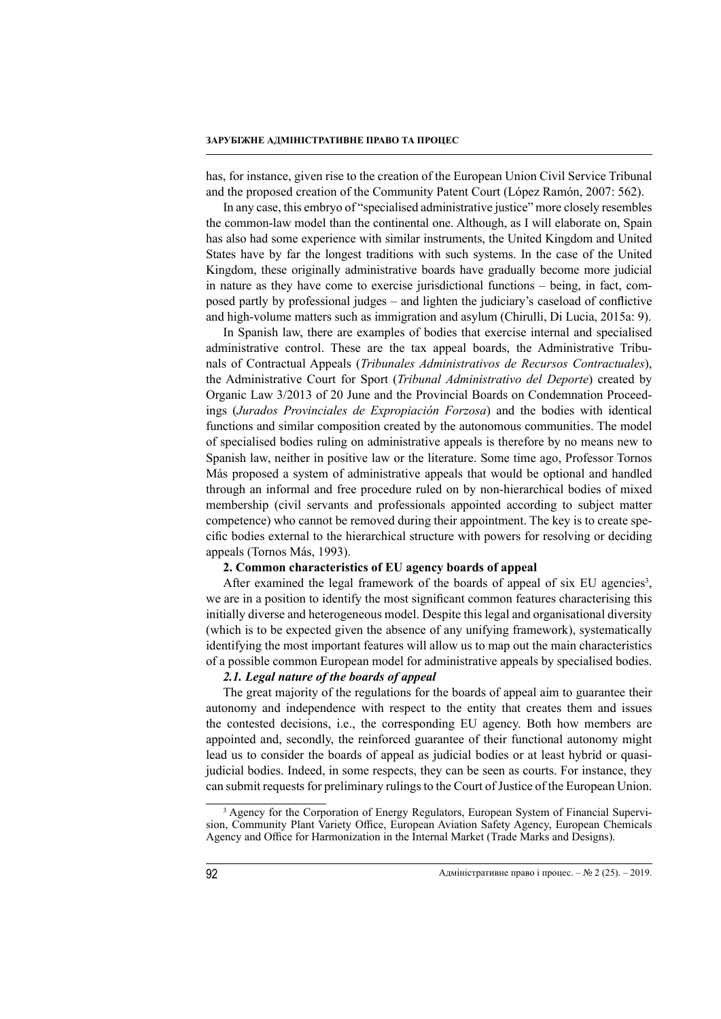has, for instance, given rise to the creation of the European Union Civil Service Tribunal and the proposed creation of the Community Patent Court (López Ramón, 2007: 562).

In any case, this embryo of "specialised administrative justice" more closely resembles the common-law model than the continental one. Although, as I will elaborate on, Spain has also had some experience with similar instruments, the United Kingdom and United States have by far the longest traditions with such systems. In the case of the United Kingdom, these originally administrative boards have gradually become more judicial in nature as they have come to exercise jurisdictional functions – being, in fact, composed partly by professional judges – and lighten the judiciary's caseload of conflictive and high-volume matters such as immigration and asylum (Chirulli, Di Lucia, 2015a: 9).

In Spanish law, there are examples of bodies that exercise internal and specialised administrative control. These are the tax appeal boards, the Administrative Tribunals of Contractual Appeals (*Tribunales Administrativos de Recursos Contractuales*), the Administrative Court for Sport (*Tribunal Administrativo del Deporte*) created by Organic Law 3/2013 of 20 June and the Provincial Boards on Condemnation Proceedings (*Jurados Provinciales de Expropiación Forzosa*) and the bodies with identical functions and similar composition created by the autonomous communities. The model of specialised bodies ruling on administrative appeals is therefore by no means new to Spanish law, neither in positive law or the literature. Some time ago, Professor Tornos Más proposed a system of administrative appeals that would be optional and handled through an informal and free procedure ruled on by non-hierarchical bodies of mixed membership (civil servants and professionals appointed according to subject matter competence) who cannot be removed during their appointment. The key is to create specific bodies external to the hierarchical structure with powers for resolving or deciding appeals (Tornos Más, 1993).

# **2. Common characteristics of EU agency boards of appeal**

After examined the legal framework of the boards of appeal of six EU agencies<sup>3</sup>, we are in a position to identify the most significant common features characterising this initially diverse and heterogeneous model. Despite this legal and organisational diversity (which is to be expected given the absence of any unifying framework), systematically identifying the most important features will allow us to map out the main characteristics of a possible common European model for administrative appeals by specialised bodies.

#### *2.1. Legal nature of the boards of appeal*

The great majority of the regulations for the boards of appeal aim to guarantee their autonomy and independence with respect to the entity that creates them and issues the contested decisions, i.e., the corresponding EU agency. Both how members are appointed and, secondly, the reinforced guarantee of their functional autonomy might lead us to consider the boards of appeal as judicial bodies or at least hybrid or quasijudicial bodies. Indeed, in some respects, they can be seen as courts. For instance, they can submit requests for preliminary rulings to the Court of Justice of the European Union.

<sup>&</sup>lt;sup>3</sup> Agency for the Corporation of Energy Regulators, European System of Financial Supervision, Community Plant Variety Office, European Aviation Safety Agency, European Chemicals Agency and Office for Harmonization in the Internal Market (Trade Marks and Designs).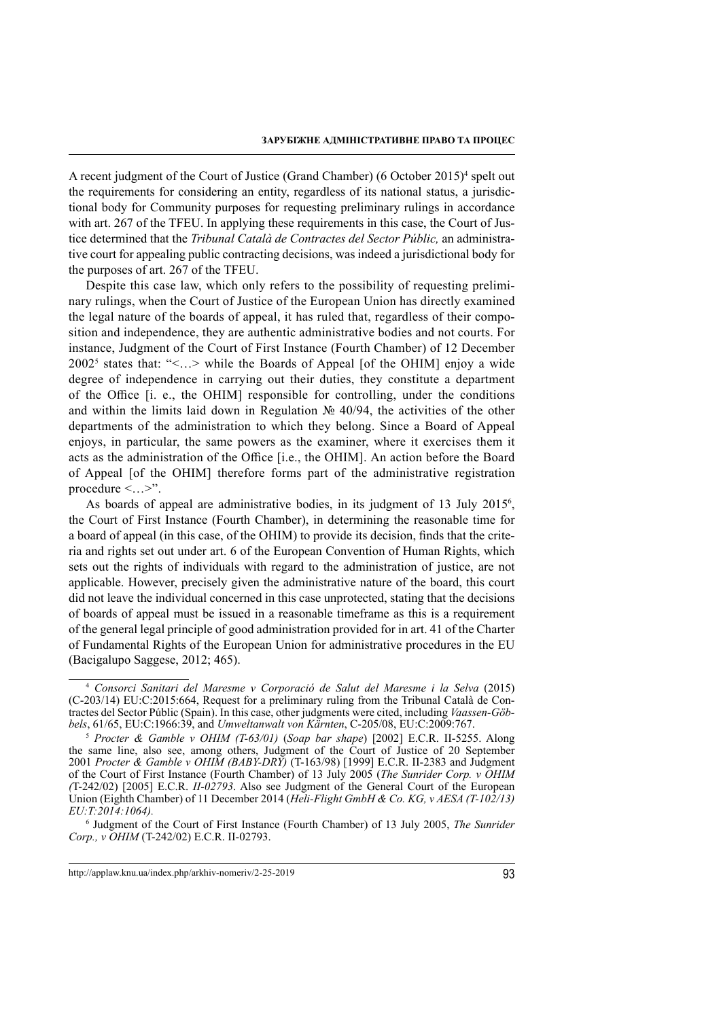A recent judgment of the Court of Justice (Grand Chamber) (6 October 2015)<sup>4</sup> spelt out the requirements for considering an entity, regardless of its national status, a jurisdictional body for Community purposes for requesting preliminary rulings in accordance with art. 267 of the TFEU. In applying these requirements in this case, the Court of Justice determined that the *Tribunal Català de Contractes del Sector Públic,* an administrative court for appealing public contracting decisions, was indeed a jurisdictional body for the purposes of art. 267 of the TFEU.

Despite this case law, which only refers to the possibility of requesting preliminary rulings, when the Court of Justice of the European Union has directly examined the legal nature of the boards of appeal, it has ruled that, regardless of their composition and independence, they are authentic administrative bodies and not courts. For instance, Judgment of the Court of First Instance (Fourth Chamber) of 12 December 2002<sup>5</sup> states that: "<…> while the Boards of Appeal [of the OHIM] enjoy a wide degree of independence in carrying out their duties, they constitute a department of the Office [i. e., the OHIM] responsible for controlling, under the conditions and within the limits laid down in Regulation № 40/94, the activities of the other departments of the administration to which they belong. Since a Board of Appeal enjoys, in particular, the same powers as the examiner, where it exercises them it acts as the administration of the Office [i.e., the OHIM]. An action before the Board of Appeal [of the OHIM] therefore forms part of the administrative registration procedure  $\leq ... \geq$ ".

As boards of appeal are administrative bodies, in its judgment of 13 July 2015<sup>6</sup>, the Court of First Instance (Fourth Chamber), in determining the reasonable time for a board of appeal (in this case, of the OHIM) to provide its decision, finds that the criteria and rights set out under art. 6 of the European Convention of Human Rights, which sets out the rights of individuals with regard to the administration of justice, are not applicable. However, precisely given the administrative nature of the board, this court did not leave the individual concerned in this case unprotected, stating that the decisions of boards of appeal must be issued in a reasonable timeframe as this is a requirement of the general legal principle of good administration provided for in art. 41 of the Charter of Fundamental Rights of the European Union for administrative procedures in the EU (Bacigalupo Saggese, 2012; 465).

<sup>4</sup> *Consorci Sanitari del Maresme v Corporació de Salut del Maresme i la Selva* (2015) (C-203/14) EU:C:2015:664, Request for a preliminary ruling from the Tribunal Català de Contractes del Sector Públic (Spain). In this case, other judgments were cited, including *Vaassen-Göbbels*, 61/65, EU:C:1966:39, and *Umweltanwalt von Kärnten*, C-205/08, EU:C:2009:767.

<sup>5</sup> *Procter & Gamble v OHIM (T-63/01)* (*Soap bar shape*) [2002] E.C.R. II-5255. Along the same line, also see, among others, Judgment of the Court of Justice of 20 September 2001 *Procter & Gamble v OHIM (BABY-DRY)* (T-163/98) [1999] E.C.R. II-2383 and Judgment of the Court of First Instance (Fourth Chamber) of 13 July 2005 (*The Sunrider Corp. v OHIM (*T-242/02) [2005] E.C.R. *II-02793*. Also see Judgment of the General Court of the European Union (Eighth Chamber) of 11 December 2014 (*Heli-Flight GmbH & Co. KG, v AESA (T-102/13) EU:T:2014:1064).*

<sup>6</sup> Judgment of the Court of First Instance (Fourth Chamber) of 13 July 2005, *The Sunrider Corp., v OHIM* (T-242/02) E.C.R. II-02793.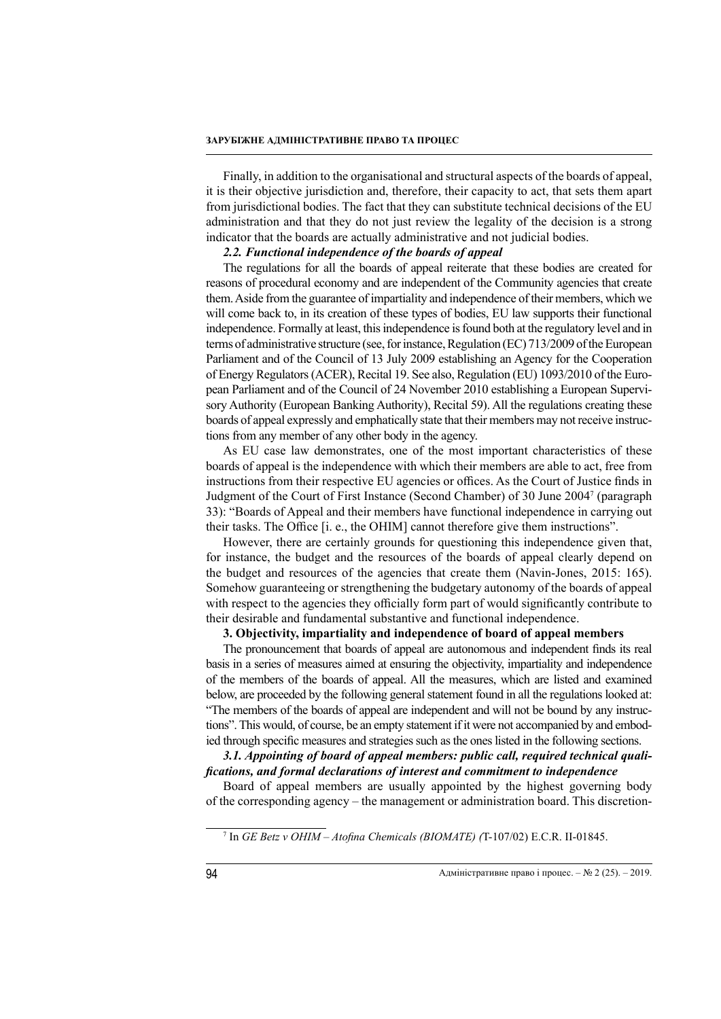Finally, in addition to the organisational and structural aspects of the boards of appeal, it is their objective jurisdiction and, therefore, their capacity to act, that sets them apart from jurisdictional bodies. The fact that they can substitute technical decisions of the EU administration and that they do not just review the legality of the decision is a strong indicator that the boards are actually administrative and not judicial bodies.

## *2.2. Functional independence of the boards of appeal*

The regulations for all the boards of appeal reiterate that these bodies are created for reasons of procedural economy and are independent of the Community agencies that create them. Aside from the guarantee of impartiality and independence of their members, which we will come back to, in its creation of these types of bodies, EU law supports their functional independence. Formally at least, this independence is found both at the regulatory level and in terms of administrative structure (see, for instance, Regulation (EC) 713/2009 of the European Parliament and of the Council of 13 July 2009 establishing an Agency for the Cooperation of Energy Regulators (ACER), Recital 19. See also, Regulation (EU) 1093/2010 of the European Parliament and of the Council of 24 November 2010 establishing a European Supervisory Authority (European Banking Authority), Recital 59). All the regulations creating these boards of appeal expressly and emphatically state that their members may not receive instructions from any member of any other body in the agency.

As EU case law demonstrates, one of the most important characteristics of these boards of appeal is the independence with which their members are able to act, free from instructions from their respective EU agencies or offices. As the Court of Justice finds in Judgment of the Court of First Instance (Second Chamber) of 30 June 20047 (paragraph 33): "Boards of Appeal and their members have functional independence in carrying out their tasks. The Office [i. e., the OHIM] cannot therefore give them instructions".

However, there are certainly grounds for questioning this independence given that, for instance, the budget and the resources of the boards of appeal clearly depend on the budget and resources of the agencies that create them (Navin-Jones, 2015: 165). Somehow guaranteeing or strengthening the budgetary autonomy of the boards of appeal with respect to the agencies they officially form part of would significantly contribute to their desirable and fundamental substantive and functional independence.

### **3. Objectivity, impartiality and independence of board of appeal members**

The pronouncement that boards of appeal are autonomous and independent finds its real basis in a series of measures aimed at ensuring the objectivity, impartiality and independence of the members of the boards of appeal. All the measures, which are listed and examined below, are proceeded by the following general statement found in all the regulations looked at: "The members of the boards of appeal are independent and will not be bound by any instructions". This would, of course, be an empty statement if it were not accompanied by and embodied through specific measures and strategies such as the ones listed in the following sections.

# *3.1. Appointing of board of appeal members: public call, required technical qualifications, and formal declarations of interest and commitment to independence*

Board of appeal members are usually appointed by the highest governing body of the corresponding agency – the management or administration board. This discretion-

7 In *GE Betz v OHIM – Atofina Chemicals (BIOMATE) (*T-107/02) E.C.R. II-01845.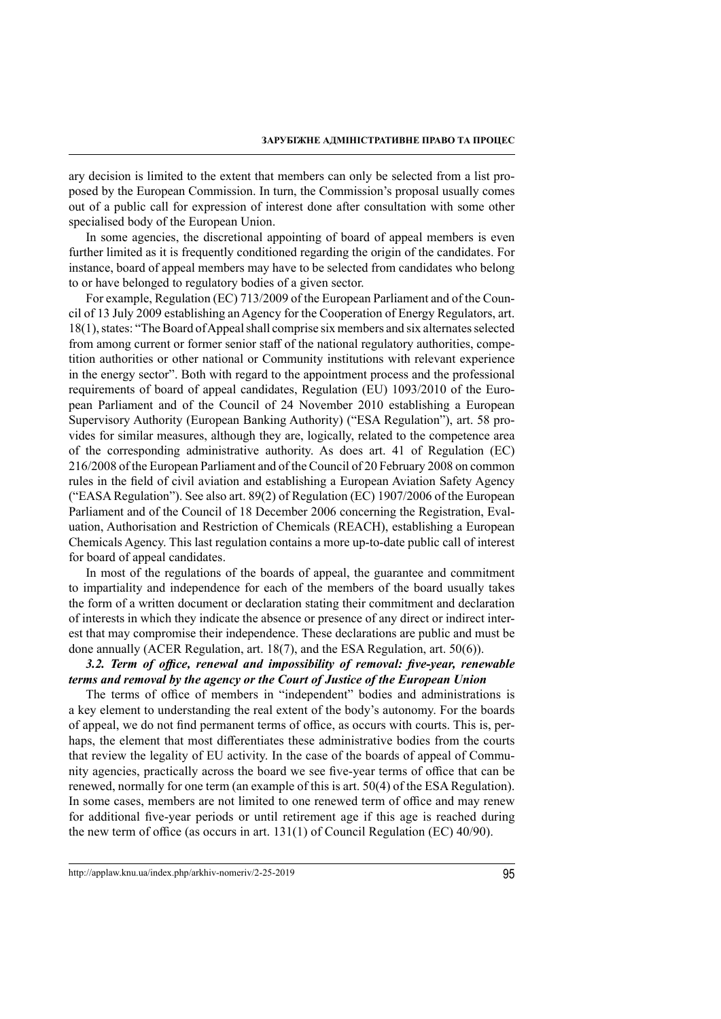ary decision is limited to the extent that members can only be selected from a list proposed by the European Commission. In turn, the Commission's proposal usually comes out of a public call for expression of interest done after consultation with some other specialised body of the European Union.

In some agencies, the discretional appointing of board of appeal members is even further limited as it is frequently conditioned regarding the origin of the candidates. For instance, board of appeal members may have to be selected from candidates who belong to or have belonged to regulatory bodies of a given sector.

For example, Regulation (EC) 713/2009 of the European Parliament and of the Council of 13 July 2009 establishing an Agency for the Cooperation of Energy Regulators, art. 18(1), states: "The Board of Appeal shall comprise six members and six alternates selected from among current or former senior staff of the national regulatory authorities, competition authorities or other national or Community institutions with relevant experience in the energy sector". Both with regard to the appointment process and the professional requirements of board of appeal candidates, Regulation (EU) 1093/2010 of the European Parliament and of the Council of 24 November 2010 establishing a European Supervisory Authority (European Banking Authority) ("ESA Regulation"), art. 58 provides for similar measures, although they are, logically, related to the competence area of the corresponding administrative authority. As does art. 41 of Regulation (EC) 216/2008 of the European Parliament and of the Council of 20 February 2008 on common rules in the field of civil aviation and establishing a European Aviation Safety Agency ("EASA Regulation"). See also art. 89(2) of Regulation (EC) 1907/2006 of the European Parliament and of the Council of 18 December 2006 concerning the Registration, Evaluation, Authorisation and Restriction of Chemicals (REACH), establishing a European Chemicals Agency. This last regulation contains a more up-to-date public call of interest for board of appeal candidates.

In most of the regulations of the boards of appeal, the guarantee and commitment to impartiality and independence for each of the members of the board usually takes the form of a written document or declaration stating their commitment and declaration of interests in which they indicate the absence or presence of any direct or indirect interest that may compromise their independence. These declarations are public and must be done annually (ACER Regulation, art. 18(7), and the ESA Regulation, art. 50(6)).

## *3.2. Term of office, renewal and impossibility of removal: five-year, renewable terms and removal by the agency or the Court of Justice of the European Union*

The terms of office of members in "independent" bodies and administrations is a key element to understanding the real extent of the body's autonomy. For the boards of appeal, we do not find permanent terms of office, as occurs with courts. This is, perhaps, the element that most differentiates these administrative bodies from the courts that review the legality of EU activity. In the case of the boards of appeal of Community agencies, practically across the board we see five-year terms of office that can be renewed, normally for one term (an example of this is art. 50(4) of the ESA Regulation). In some cases, members are not limited to one renewed term of office and may renew for additional five-year periods or until retirement age if this age is reached during the new term of office (as occurs in art.  $131(1)$  of Council Regulation (EC) 40/90).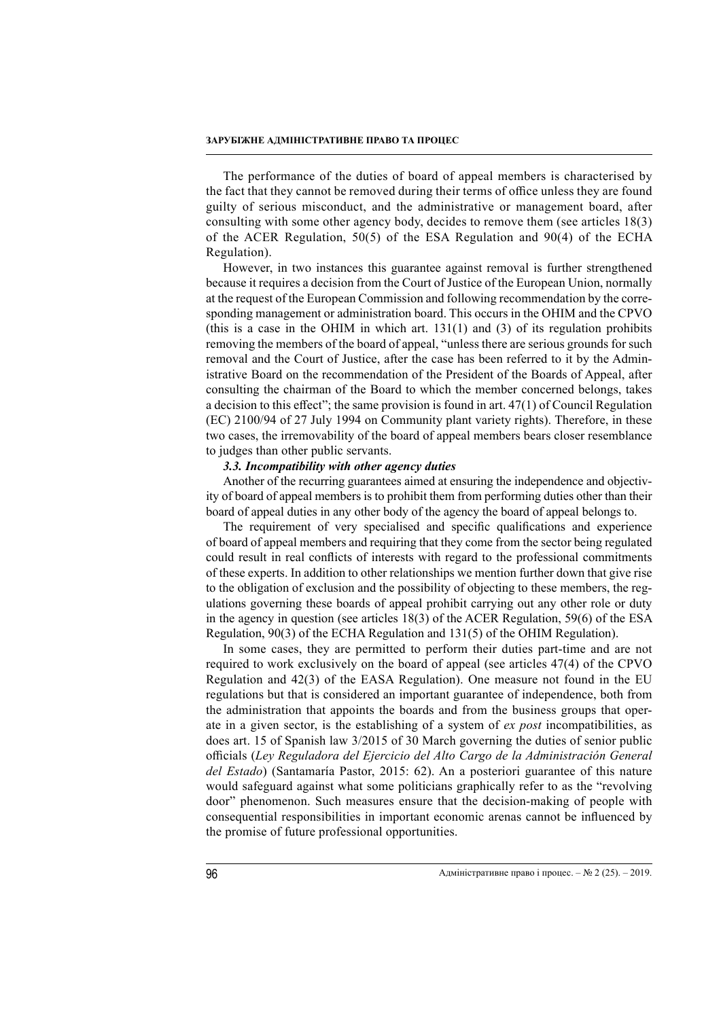The performance of the duties of board of appeal members is characterised by the fact that they cannot be removed during their terms of office unless they are found guilty of serious misconduct, and the administrative or management board, after consulting with some other agency body, decides to remove them (see articles 18(3) of the ACER Regulation, 50(5) of the ESA Regulation and 90(4) of the ECHA Regulation).

However, in two instances this guarantee against removal is further strengthened because it requires a decision from the Court of Justice of the European Union, normally at the request of the European Commission and following recommendation by the corresponding management or administration board. This occurs in the OHIM and the CPVO (this is a case in the OHIM in which art.  $131(1)$  and (3) of its regulation prohibits removing the members of the board of appeal, "unless there are serious grounds for such removal and the Court of Justice, after the case has been referred to it by the Administrative Board on the recommendation of the President of the Boards of Appeal, after consulting the chairman of the Board to which the member concerned belongs, takes a decision to this effect"; the same provision is found in art. 47(1) of Council Regulation (EC) 2100/94 of 27 July 1994 on Community plant variety rights). Therefore, in these two cases, the irremovability of the board of appeal members bears closer resemblance to judges than other public servants.

#### *3.3. Incompatibility with other agency duties*

Another of the recurring guarantees aimed at ensuring the independence and objectivity of board of appeal members is to prohibit them from performing duties other than their board of appeal duties in any other body of the agency the board of appeal belongs to.

The requirement of very specialised and specific qualifications and experience of board of appeal members and requiring that they come from the sector being regulated could result in real conflicts of interests with regard to the professional commitments of these experts. In addition to other relationships we mention further down that give rise to the obligation of exclusion and the possibility of objecting to these members, the regulations governing these boards of appeal prohibit carrying out any other role or duty in the agency in question (see articles 18(3) of the ACER Regulation, 59(6) of the ESA Regulation, 90(3) of the ECHA Regulation and 131(5) of the OHIM Regulation).

In some cases, they are permitted to perform their duties part-time and are not required to work exclusively on the board of appeal (see articles 47(4) of the CPVO Regulation and 42(3) of the EASA Regulation). One measure not found in the EU regulations but that is considered an important guarantee of independence, both from the administration that appoints the boards and from the business groups that operate in a given sector, is the establishing of a system of *ex post* incompatibilities, as does art. 15 of Spanish law 3/2015 of 30 March governing the duties of senior public officials (*Ley Reguladora del Ejercicio del Alto Cargo de la Administración General del Estado*) (Santamaría Pastor, 2015: 62). An a posteriori guarantee of this nature would safeguard against what some politicians graphically refer to as the "revolving door" phenomenon. Such measures ensure that the decision-making of people with consequential responsibilities in important economic arenas cannot be influenced by the promise of future professional opportunities.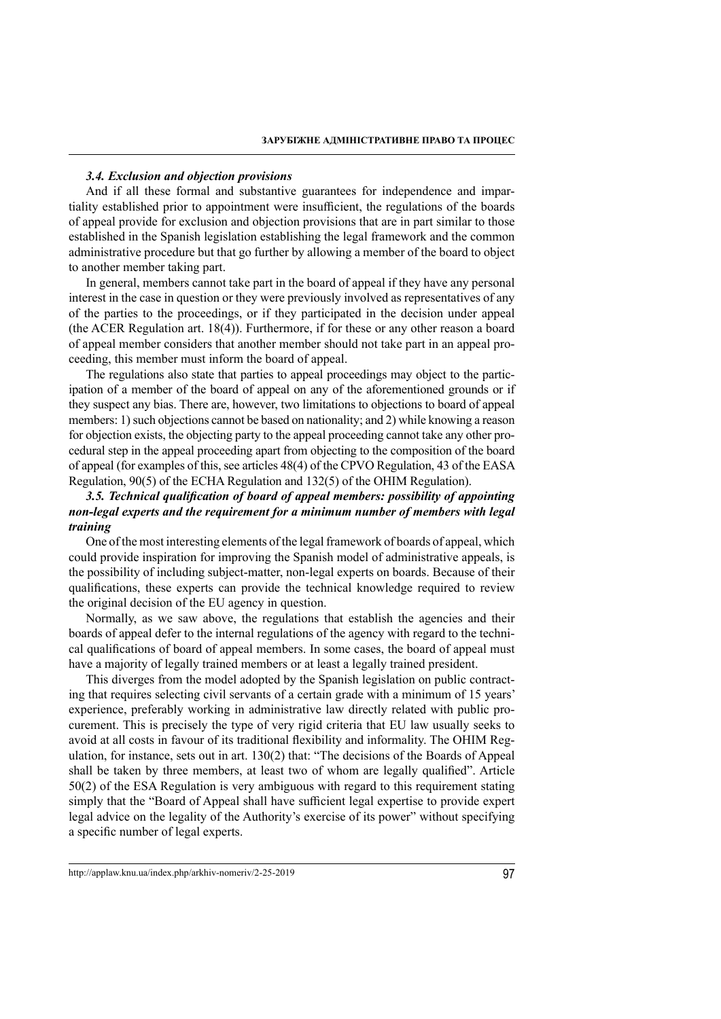#### *3.4. Exclusion and objection provisions*

And if all these formal and substantive guarantees for independence and impartiality established prior to appointment were insufficient, the regulations of the boards of appeal provide for exclusion and objection provisions that are in part similar to those established in the Spanish legislation establishing the legal framework and the common administrative procedure but that go further by allowing a member of the board to object to another member taking part.

In general, members cannot take part in the board of appeal if they have any personal interest in the case in question or they were previously involved as representatives of any of the parties to the proceedings, or if they participated in the decision under appeal (the ACER Regulation art. 18(4)). Furthermore, if for these or any other reason a board of appeal member considers that another member should not take part in an appeal proceeding, this member must inform the board of appeal.

The regulations also state that parties to appeal proceedings may object to the participation of a member of the board of appeal on any of the aforementioned grounds or if they suspect any bias. There are, however, two limitations to objections to board of appeal members: 1) such objections cannot be based on nationality; and 2) while knowing a reason for objection exists, the objecting party to the appeal proceeding cannot take any other procedural step in the appeal proceeding apart from objecting to the composition of the board of appeal (for examples of this, see articles 48(4) of the CPVO Regulation, 43 of the EASA Regulation, 90(5) of the ECHA Regulation and 132(5) of the OHIM Regulation).

# *3.5. Technical qualification of board of appeal members: possibility of appointing non-legal experts and the requirement for a minimum number of members with legal training*

One of the most interesting elements of the legal framework of boards of appeal, which could provide inspiration for improving the Spanish model of administrative appeals, is the possibility of including subject-matter, non-legal experts on boards. Because of their qualifications, these experts can provide the technical knowledge required to review the original decision of the EU agency in question.

Normally, as we saw above, the regulations that establish the agencies and their boards of appeal defer to the internal regulations of the agency with regard to the technical qualifications of board of appeal members. In some cases, the board of appeal must have a majority of legally trained members or at least a legally trained president.

This diverges from the model adopted by the Spanish legislation on public contracting that requires selecting civil servants of a certain grade with a minimum of 15 years' experience, preferably working in administrative law directly related with public procurement. This is precisely the type of very rigid criteria that EU law usually seeks to avoid at all costs in favour of its traditional flexibility and informality. The OHIM Regulation, for instance, sets out in art. 130(2) that: "The decisions of the Boards of Appeal shall be taken by three members, at least two of whom are legally qualified". Article 50(2) of the ESA Regulation is very ambiguous with regard to this requirement stating simply that the "Board of Appeal shall have sufficient legal expertise to provide expert legal advice on the legality of the Authority's exercise of its power" without specifying a specific number of legal experts.

http://applaw.knu.ua/index.php/arkhiv-nomeriv/2-25-2019 97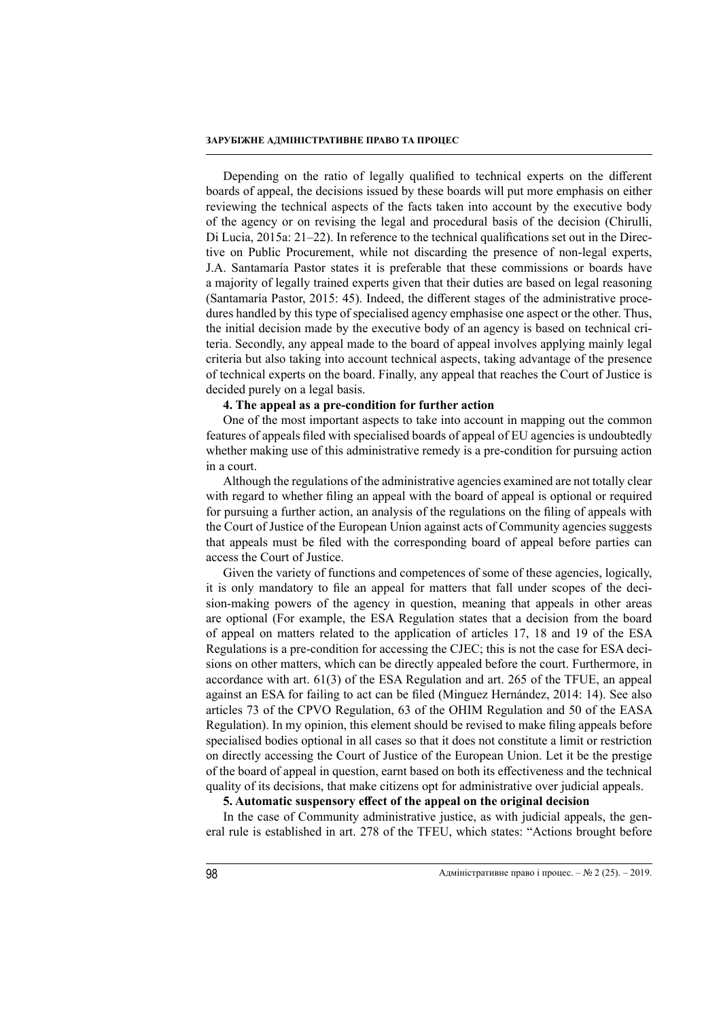Depending on the ratio of legally qualified to technical experts on the different boards of appeal, the decisions issued by these boards will put more emphasis on either reviewing the technical aspects of the facts taken into account by the executive body of the agency or on revising the legal and procedural basis of the decision (Chirulli, Di Lucia, 2015a: 21–22). In reference to the technical qualifications set out in the Directive on Public Procurement, while not discarding the presence of non-legal experts, J.A. Santamaría Pastor states it is preferable that these commissions or boards have a majority of legally trained experts given that their duties are based on legal reasoning (Santamaría Pastor, 2015: 45). Indeed, the different stages of the administrative procedures handled by this type of specialised agency emphasise one aspect or the other. Thus, the initial decision made by the executive body of an agency is based on technical criteria. Secondly, any appeal made to the board of appeal involves applying mainly legal criteria but also taking into account technical aspects, taking advantage of the presence of technical experts on the board. Finally, any appeal that reaches the Court of Justice is decided purely on a legal basis.

### **4. The appeal as a pre-condition for further action**

One of the most important aspects to take into account in mapping out the common features of appeals filed with specialised boards of appeal of EU agencies is undoubtedly whether making use of this administrative remedy is a pre-condition for pursuing action in a court.

Although the regulations of the administrative agencies examined are not totally clear with regard to whether filing an appeal with the board of appeal is optional or required for pursuing a further action, an analysis of the regulations on the filing of appeals with the Court of Justice of the European Union against acts of Community agencies suggests that appeals must be filed with the corresponding board of appeal before parties can access the Court of Justice.

Given the variety of functions and competences of some of these agencies, logically, it is only mandatory to file an appeal for matters that fall under scopes of the decision-making powers of the agency in question, meaning that appeals in other areas are optional (For example, the ESA Regulation states that a decision from the board of appeal on matters related to the application of articles 17, 18 and 19 of the ESA Regulations is a pre-condition for accessing the CJEC; this is not the case for ESA decisions on other matters, which can be directly appealed before the court. Furthermore, in accordance with art. 61(3) of the ESA Regulation and art. 265 of the TFUE, an appeal against an ESA for failing to act can be filed (Minguez Hernández, 2014: 14). See also articles 73 of the CPVO Regulation, 63 of the OHIM Regulation and 50 of the EASA Regulation). In my opinion, this element should be revised to make filing appeals before specialised bodies optional in all cases so that it does not constitute a limit or restriction on directly accessing the Court of Justice of the European Union. Let it be the prestige of the board of appeal in question, earnt based on both its effectiveness and the technical quality of its decisions, that make citizens opt for administrative over judicial appeals.

# **5. Automatic suspensory effect of the appeal on the original decision**

In the case of Community administrative justice, as with judicial appeals, the general rule is established in art. 278 of the TFEU, which states: "Actions brought before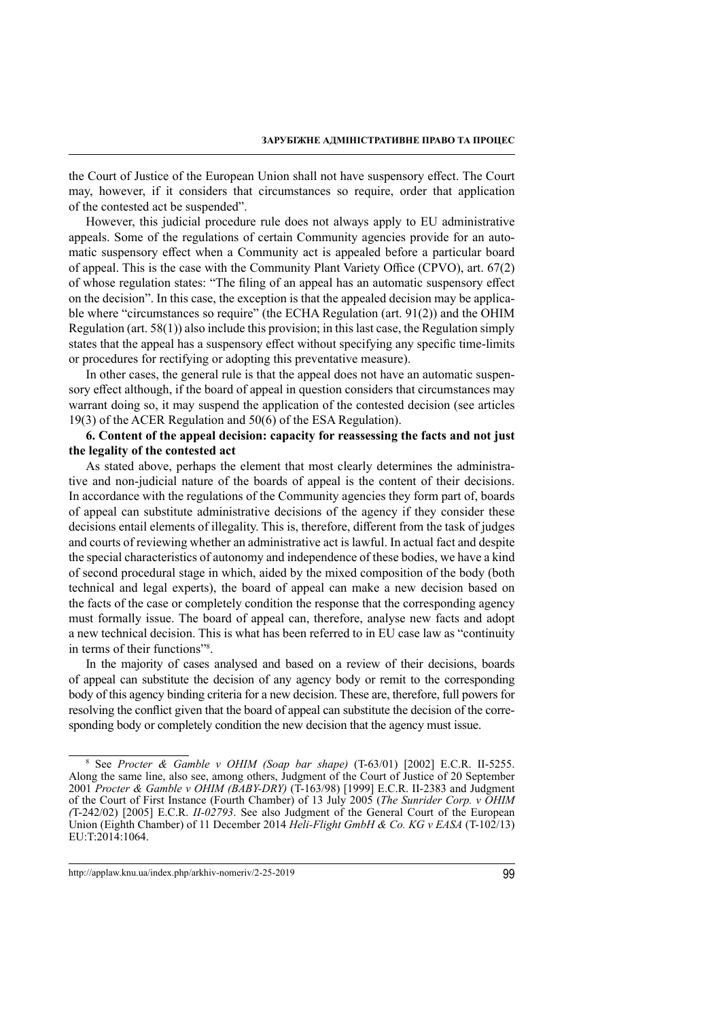the Court of Justice of the European Union shall not have suspensory effect. The Court may, however, if it considers that circumstances so require, order that application of the contested act be suspended".

However, this judicial procedure rule does not always apply to EU administrative appeals. Some of the regulations of certain Community agencies provide for an automatic suspensory effect when a Community act is appealed before a particular board of appeal. This is the case with the Community Plant Variety Office (CPVO), art. 67(2) of whose regulation states: "The filing of an appeal has an automatic suspensory effect on the decision". In this case, the exception is that the appealed decision may be applicable where "circumstances so require" (the ECHA Regulation (art. 91(2)) and the OHIM Regulation (art. 58(1)) also include this provision; in this last case, the Regulation simply states that the appeal has a suspensory effect without specifying any specific time-limits or procedures for rectifying or adopting this preventative measure).

In other cases, the general rule is that the appeal does not have an automatic suspensory effect although, if the board of appeal in question considers that circumstances may warrant doing so, it may suspend the application of the contested decision (see articles 19(3) of the ACER Regulation and 50(6) of the ESA Regulation).

# **6. Content of the appeal decision: capacity for reassessing the facts and not just the legality of the contested act**

As stated above, perhaps the element that most clearly determines the administrative and non-judicial nature of the boards of appeal is the content of their decisions. In accordance with the regulations of the Community agencies they form part of, boards of appeal can substitute administrative decisions of the agency if they consider these decisions entail elements of illegality. This is, therefore, different from the task of judges and courts of reviewing whether an administrative act is lawful. In actual fact and despite the special characteristics of autonomy and independence of these bodies, we have a kind of second procedural stage in which, aided by the mixed composition of the body (both technical and legal experts), the board of appeal can make a new decision based on the facts of the case or completely condition the response that the corresponding agency must formally issue. The board of appeal can, therefore, analyse new facts and adopt a new technical decision. This is what has been referred to in EU case law as "continuity in terms of their functions"<sup>8</sup>.

In the majority of cases analysed and based on a review of their decisions, boards of appeal can substitute the decision of any agency body or remit to the corresponding body of this agency binding criteria for a new decision. These are, therefore, full powers for resolving the conflict given that the board of appeal can substitute the decision of the corresponding body or completely condition the new decision that the agency must issue.

<sup>8</sup> See *Procter & Gamble v OHIM (Soap bar shape)* (T-63/01) [2002] E.C.R. II-5255. Along the same line, also see, among others, Judgment of the Court of Justice of 20 September 2001 *Procter & Gamble v OHIM (BABY-DRY)* (T-163/98) [1999] E.C.R. II-2383 and Judgment of the Court of First Instance (Fourth Chamber) of 13 July 2005 (*The Sunrider Corp. v OHIM (*T-242/02) [2005] E.C.R. *II-02793*. See also Judgment of the General Court of the European Union (Eighth Chamber) of 11 December 2014 *Heli-Flight GmbH & Co. KG v EASA* (T-102/13) EU:T:2014:1064.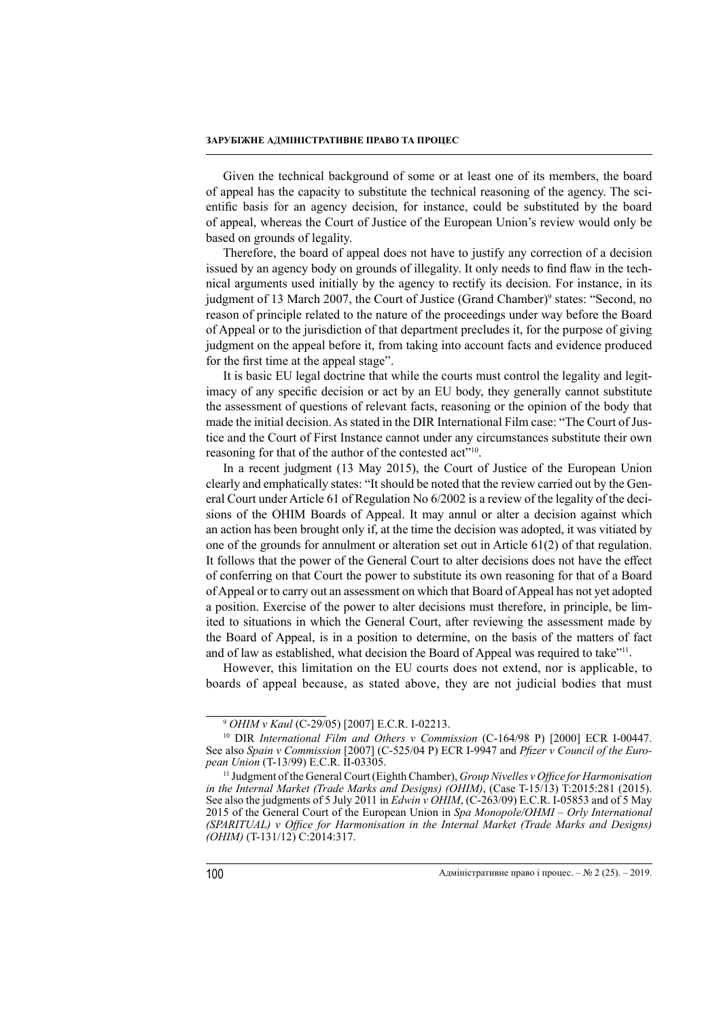Given the technical background of some or at least one of its members, the board of appeal has the capacity to substitute the technical reasoning of the agency. The scientific basis for an agency decision, for instance, could be substituted by the board of appeal, whereas the Court of Justice of the European Union's review would only be based on grounds of legality.

Therefore, the board of appeal does not have to justify any correction of a decision issued by an agency body on grounds of illegality. It only needs to find flaw in the technical arguments used initially by the agency to rectify its decision. For instance, in its judgment of 13 March 2007, the Court of Justice (Grand Chamber)<sup>9</sup> states: "Second, no reason of principle related to the nature of the proceedings under way before the Board of Appeal or to the jurisdiction of that department precludes it, for the purpose of giving judgment on the appeal before it, from taking into account facts and evidence produced for the first time at the appeal stage".

It is basic EU legal doctrine that while the courts must control the legality and legitimacy of any specific decision or act by an EU body, they generally cannot substitute the assessment of questions of relevant facts, reasoning or the opinion of the body that made the initial decision. As stated in the DIR International Film case: "The Court of Justice and the Court of First Instance cannot under any circumstances substitute their own reasoning for that of the author of the contested act"<sup>10</sup>.

In a recent judgment (13 May 2015), the Court of Justice of the European Union clearly and emphatically states: "It should be noted that the review carried out by the General Court under Article 61 of Regulation No 6/2002 is a review of the legality of the decisions of the OHIM Boards of Appeal. It may annul or alter a decision against which an action has been brought only if, at the time the decision was adopted, it was vitiated by one of the grounds for annulment or alteration set out in Article 61(2) of that regulation. It follows that the power of the General Court to alter decisions does not have the effect of conferring on that Court the power to substitute its own reasoning for that of a Board of Appeal or to carry out an assessment on which that Board of Appeal has not yet adopted a position. Exercise of the power to alter decisions must therefore, in principle, be limited to situations in which the General Court, after reviewing the assessment made by the Board of Appeal, is in a position to determine, on the basis of the matters of fact and of law as established, what decision the Board of Appeal was required to take"11.

However, this limitation on the EU courts does not extend, nor is applicable, to boards of appeal because, as stated above, they are not judicial bodies that must

<sup>9</sup> *OHIM v Kaul* (C-29/05) [2007] E.C.R. I-02213.

<sup>10</sup> DIR *International Film and Others v Commission* (C-164/98 P) [2000] ECR I-00447. See also *Spain v Commission* [2007] (C-525/04 P) ECR I-9947 and *Pfizer v Council of the European Union* (T-13/99) E.C.R. II-03305.

<sup>11</sup> Judgment of the General Court (Eighth Chamber), *Group Nivelles v Office for Harmonisation in the Internal Market (Trade Marks and Designs) (OHIM)*, (Case T-15/13) T:2015:281 (2015). See also the judgments of 5 July 2011 in *Edwin v OHIM*, (C-263/09) E.C.R. I-05853 and of 5 May 2015 of the General Court of the European Union in *Spa Monopole/OHMI – Orly International (SPARITUAL) v Office for Harmonisation in the Internal Market (Trade Marks and Designs) (OHIM)* (T-131/12) C:2014:317.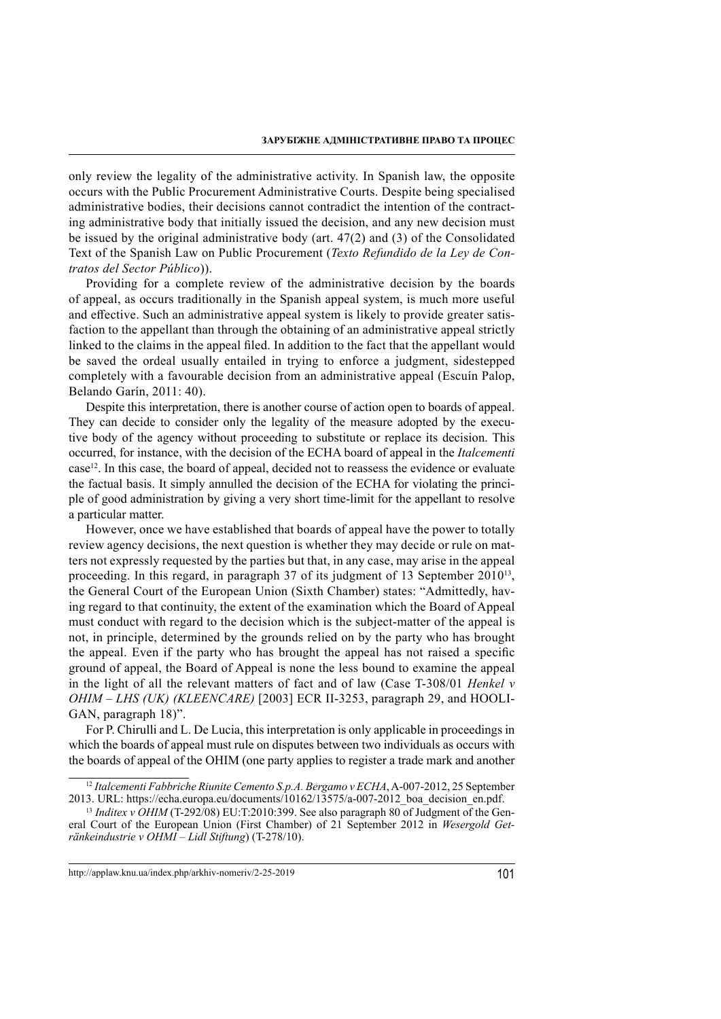only review the legality of the administrative activity. In Spanish law, the opposite occurs with the Public Procurement Administrative Courts. Despite being specialised administrative bodies, their decisions cannot contradict the intention of the contracting administrative body that initially issued the decision, and any new decision must be issued by the original administrative body (art. 47(2) and (3) of the Consolidated Text of the Spanish Law on Public Procurement (*Texto Refundido de la Ley de Contratos del Sector Público*)).

Providing for a complete review of the administrative decision by the boards of appeal, as occurs traditionally in the Spanish appeal system, is much more useful and effective. Such an administrative appeal system is likely to provide greater satisfaction to the appellant than through the obtaining of an administrative appeal strictly linked to the claims in the appeal filed. In addition to the fact that the appellant would be saved the ordeal usually entailed in trying to enforce a judgment, sidestepped completely with a favourable decision from an administrative appeal (Escuín Palop, Belando Garín, 2011: 40).

Despite this interpretation, there is another course of action open to boards of appeal. They can decide to consider only the legality of the measure adopted by the executive body of the agency without proceeding to substitute or replace its decision. This occurred, for instance, with the decision of the ECHA board of appeal in the *Italcementi* case<sup>12</sup>. In this case, the board of appeal, decided not to reassess the evidence or evaluate the factual basis. It simply annulled the decision of the ECHA for violating the principle of good administration by giving a very short time-limit for the appellant to resolve a particular matter.

However, once we have established that boards of appeal have the power to totally review agency decisions, the next question is whether they may decide or rule on matters not expressly requested by the parties but that, in any case, may arise in the appeal proceeding. In this regard, in paragraph 37 of its judgment of 13 September 2010<sup>13</sup>, the General Court of the European Union (Sixth Chamber) states: "Admittedly, having regard to that continuity, the extent of the examination which the Board of Appeal must conduct with regard to the decision which is the subject-matter of the appeal is not, in principle, determined by the grounds relied on by the party who has brought the appeal. Even if the party who has brought the appeal has not raised a specific ground of appeal, the Board of Appeal is none the less bound to examine the appeal in the light of all the relevant matters of fact and of law (Case T-308/01 *Henkel v OHIM – LHS (UK) (KLEENCARE)* [2003] ECR II-3253, paragraph 29, and HOOLI-GAN, paragraph 18)".

For P. Chirulli and L. De Lucia, this interpretation is only applicable in proceedings in which the boards of appeal must rule on disputes between two individuals as occurs with the boards of appeal of the OHIM (one party applies to register a trade mark and another

<sup>&</sup>lt;sup>12</sup> Italcementi Fabbriche Riunite Cemento S.p.A. Bergamo v ECHA, A-007-2012, 25 September 2013. URL: https://echa.europa.eu/documents/10162/13575/a-007-2012\_boa\_decision\_en.pdf.

<sup>&</sup>lt;sup>13</sup> Inditex v OHIM (T-292/08) EU:T:2010:399. See also paragraph 80 of Judgment of the General Court of the European Union (First Chamber) of 21 September 2012 in *Wesergold Getränkeindustrie v OHMI – Lidl Stiftung*) (T-278/10).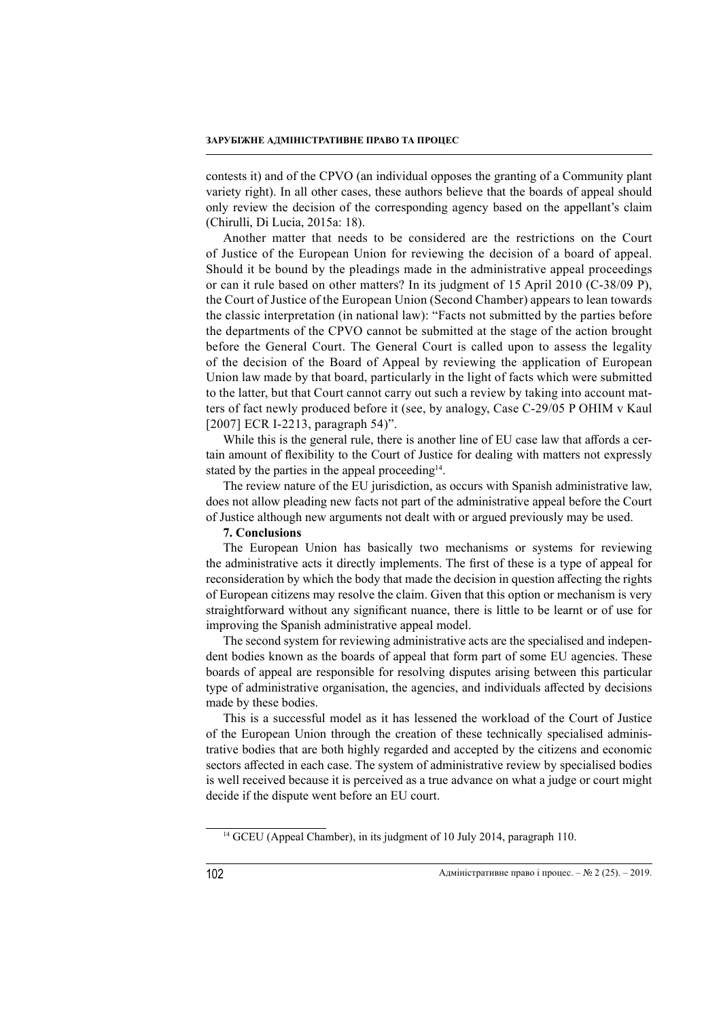contests it) and of the CPVO (an individual opposes the granting of a Community plant variety right). In all other cases, these authors believe that the boards of appeal should only review the decision of the corresponding agency based on the appellant's claim (Chirulli, Di Lucia, 2015a: 18).

Another matter that needs to be considered are the restrictions on the Court of Justice of the European Union for reviewing the decision of a board of appeal. Should it be bound by the pleadings made in the administrative appeal proceedings or can it rule based on other matters? In its judgment of 15 April 2010 (C-38/09 P), the Court of Justice of the European Union (Second Chamber) appears to lean towards the classic interpretation (in national law): "Facts not submitted by the parties before the departments of the CPVO cannot be submitted at the stage of the action brought before the General Court. The General Court is called upon to assess the legality of the decision of the Board of Appeal by reviewing the application of European Union law made by that board, particularly in the light of facts which were submitted to the latter, but that Court cannot carry out such a review by taking into account matters of fact newly produced before it (see, by analogy, Case C-29/05 P OHIM v Kaul [2007] ECR I-2213, paragraph 54)".

While this is the general rule, there is another line of EU case law that affords a certain amount of flexibility to the Court of Justice for dealing with matters not expressly stated by the parties in the appeal proceeding<sup>14</sup>.

The review nature of the EU jurisdiction, as occurs with Spanish administrative law, does not allow pleading new facts not part of the administrative appeal before the Court of Justice although new arguments not dealt with or argued previously may be used.

#### **7. Conclusions**

The European Union has basically two mechanisms or systems for reviewing the administrative acts it directly implements. The first of these is a type of appeal for reconsideration by which the body that made the decision in question affecting the rights of European citizens may resolve the claim. Given that this option or mechanism is very straightforward without any significant nuance, there is little to be learnt or of use for improving the Spanish administrative appeal model.

The second system for reviewing administrative acts are the specialised and independent bodies known as the boards of appeal that form part of some EU agencies. These boards of appeal are responsible for resolving disputes arising between this particular type of administrative organisation, the agencies, and individuals affected by decisions made by these bodies.

This is a successful model as it has lessened the workload of the Court of Justice of the European Union through the creation of these technically specialised administrative bodies that are both highly regarded and accepted by the citizens and economic sectors affected in each case. The system of administrative review by specialised bodies is well received because it is perceived as a true advance on what a judge or court might decide if the dispute went before an EU court.

<sup>&</sup>lt;sup>14</sup> GCEU (Appeal Chamber), in its judgment of 10 July 2014, paragraph 110.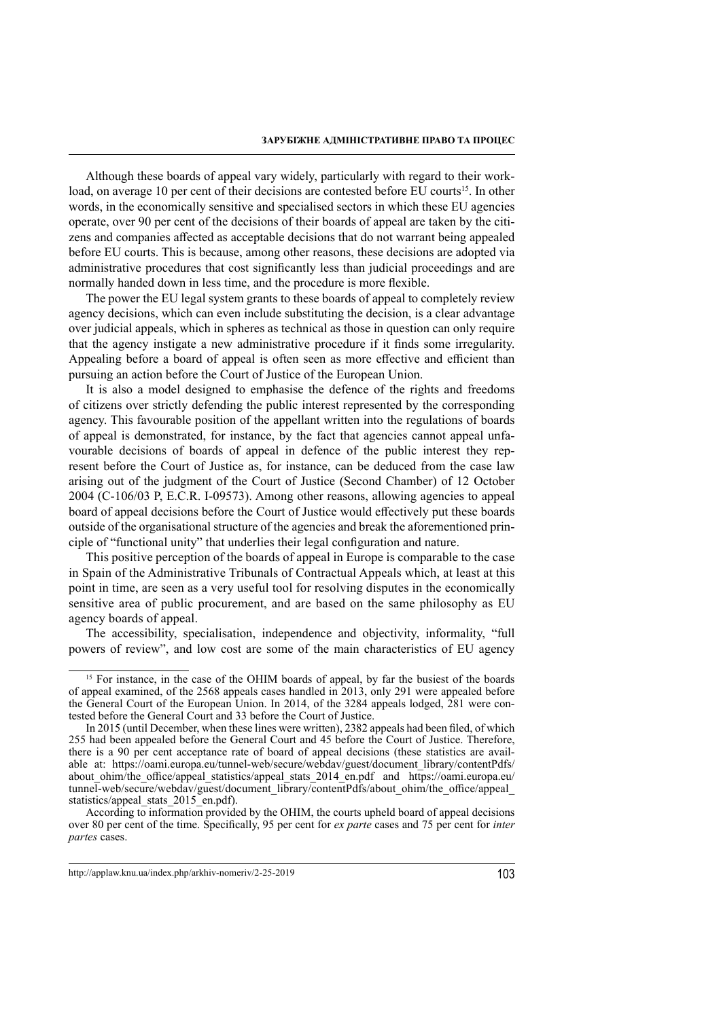Although these boards of appeal vary widely, particularly with regard to their workload, on average 10 per cent of their decisions are contested before EU courts<sup>15</sup>. In other words, in the economically sensitive and specialised sectors in which these EU agencies operate, over 90 per cent of the decisions of their boards of appeal are taken by the citizens and companies affected as acceptable decisions that do not warrant being appealed before EU courts. This is because, among other reasons, these decisions are adopted via administrative procedures that cost significantly less than judicial proceedings and are normally handed down in less time, and the procedure is more flexible.

The power the EU legal system grants to these boards of appeal to completely review agency decisions, which can even include substituting the decision, is a clear advantage over judicial appeals, which in spheres as technical as those in question can only require that the agency instigate a new administrative procedure if it finds some irregularity. Appealing before a board of appeal is often seen as more effective and efficient than pursuing an action before the Court of Justice of the European Union.

It is also a model designed to emphasise the defence of the rights and freedoms of citizens over strictly defending the public interest represented by the corresponding agency. This favourable position of the appellant written into the regulations of boards of appeal is demonstrated, for instance, by the fact that agencies cannot appeal unfavourable decisions of boards of appeal in defence of the public interest they represent before the Court of Justice as, for instance, can be deduced from the case law arising out of the judgment of the Court of Justice (Second Chamber) of 12 October 2004 (C-106/03 P, E.C.R. I-09573). Among other reasons, allowing agencies to appeal board of appeal decisions before the Court of Justice would effectively put these boards outside of the organisational structure of the agencies and break the aforementioned principle of "functional unity" that underlies their legal configuration and nature.

This positive perception of the boards of appeal in Europe is comparable to the case in Spain of the Administrative Tribunals of Contractual Appeals which, at least at this point in time, are seen as a very useful tool for resolving disputes in the economically sensitive area of public procurement, and are based on the same philosophy as EU agency boards of appeal.

The accessibility, specialisation, independence and objectivity, informality, "full powers of review", and low cost are some of the main characteristics of EU agency

<sup>&</sup>lt;sup>15</sup> For instance, in the case of the OHIM boards of appeal, by far the busiest of the boards of appeal examined, of the 2568 appeals cases handled in 2013, only 291 were appealed before the General Court of the European Union. In 2014, of the 3284 appeals lodged, 281 were contested before the General Court and 33 before the Court of Justice.

In 2015 (until December, when these lines were written), 2382 appeals had been filed, of which 255 had been appealed before the General Court and 45 before the Court of Justice. Therefore, there is a 90 per cent acceptance rate of board of appeal decisions (these statistics are available at: https://oami.europa.eu/tunnel-web/secure/webdav/guest/document\_library/contentPdfs/ about ohim/the office/appeal statistics/appeal stats 2014 en.pdf and https://oami.europa.eu/ tunnel-web/secure/webdav/guest/document\_library/contentPdfs/about\_ohim/the\_office/appeal statistics/appeal\_stats\_2015\_en.pdf).

According to information provided by the OHIM, the courts upheld board of appeal decisions over 80 per cent of the time. Specifically, 95 per cent for *ex parte* cases and 75 per cent for *inter partes* cases.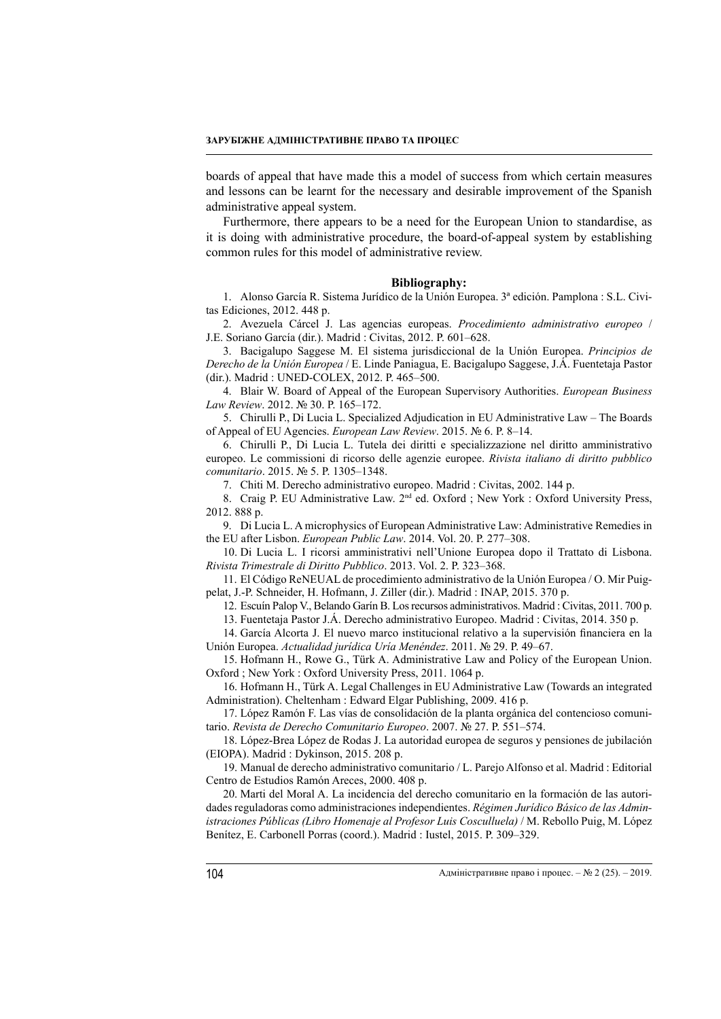boards of appeal that have made this a model of success from which certain measures and lessons can be learnt for the necessary and desirable improvement of the Spanish administrative appeal system.

Furthermore, there appears to be a need for the European Union to standardise, as it is doing with administrative procedure, the board-of-appeal system by establishing common rules for this model of administrative review.

#### **Bibliography:**

1. Alonso García R. Sistema Jurídico de la Unión Europea. 3ª edición. Pamplona : S.L. Civitas Ediciones, 2012. 448 p.

2. Avezuela Cárcel J. Las agencias europeas. *Procedimiento administrativo europeo* / J.E. Soriano García (dir.). Madrid : Civitas, 2012. P. 601–628.

3. Bacigalupo Saggese M. El sistema jurisdiccional de la Unión Europea. *Principios de Derecho de la Unión Europea* / E. Linde Paniagua, E. Bacigalupo Saggese, J.Á. Fuentetaja Pastor (dir.). Madrid : UNED-COLEX, 2012. P. 465–500.

4. Blair W. Board of Appeal of the European Supervisory Authorities. *European Business Law Review*. 2012. № 30. P. 165–172.

5. Chirulli P., Di Lucia L. Specialized Adjudication in EU Administrative Law – The Boards of Appeal of EU Agencies. *European Law Review*. 2015. № 6. P. 8–14.

6. Chirulli P., Di Lucia L. Tutela dei diritti e specializzazione nel diritto amministrativo europeo. Le commissioni di ricorso delle agenzie europee. *Rivista italiano di diritto pubblico comunitario*. 2015. № 5. P. 1305–1348.

7. Chiti M. Derecho administrativo europeo. Madrid : Civitas, 2002. 144 p.

8. Craig P. EU Administrative Law. 2<sup>nd</sup> ed. Oxford ; New York : Oxford University Press, 2012. 888 p.

9. Di Lucia L. A microphysics of European Administrative Law: Administrative Remedies in the EU after Lisbon. *European Public Law*. 2014. Vol. 20. P. 277–308.

10. Di Lucia L. I ricorsi amministrativi nell'Unione Europea dopo il Trattato di Lisbona. *Rivista Trimestrale di Diritto Pubblico*. 2013. Vol. 2. P. 323–368.

11. El Código ReNEUAL de procedimiento administrativo de la Unión Europea / O. Mir Puigpelat, J.-P. Schneider, H. Hofmann, J. Ziller (dir.). Madrid : INAP, 2015. 370 p.

12. Escuín Palop V., Belando Garín B. Los recursos administrativos. Madrid : Civitas, 2011. 700 p.

13. Fuentetaja Pastor J.Á. Derecho administrativo Europeo. Madrid : Civitas, 2014. 350 p.

14. García Alcorta J. El nuevo marco institucional relativo a la supervisión financiera en la Unión Europea. *Actualidad jurídica Uría Menéndez*. 2011. № 29. P. 49–67.

15. Hofmann H., Rowe G., Türk A. Administrative Law and Policy of the European Union. Oxford ; New York : Oxford University Press, 2011. 1064 p.

16. Hofmann H., Türk A. Legal Challenges in EU Administrative Law (Towards an integrated Administration). Cheltenham : Edward Elgar Publishing, 2009. 416 p.

17. López Ramón F. Las vías de consolidación de la planta orgánica del contencioso comunitario. *Revista de Derecho Comunitario Europeo*. 2007. № 27. P. 551–574.

18. López-Brea López de Rodas J. La autoridad europea de seguros y pensiones de jubilación (EIOPA). Madrid : Dykinson, 2015. 208 p.

19. Manual de derecho administrativo comunitario / L. Parejo Alfonso et al. Madrid : Editorial Centro de Estudios Ramón Areces, 2000. 408 p.

20. Marti del Moral A. La incidencia del derecho comunitario en la formación de las autoridades reguladoras como administraciones independientes. *Régimen Jurídico Básico de las Administraciones Públicas (Libro Homenaje al Profesor Luis Cosculluela)* / M. Rebollo Puig, M. López Benítez, E. Carbonell Porras (coord.). Madrid : Iustel, 2015. P. 309–329.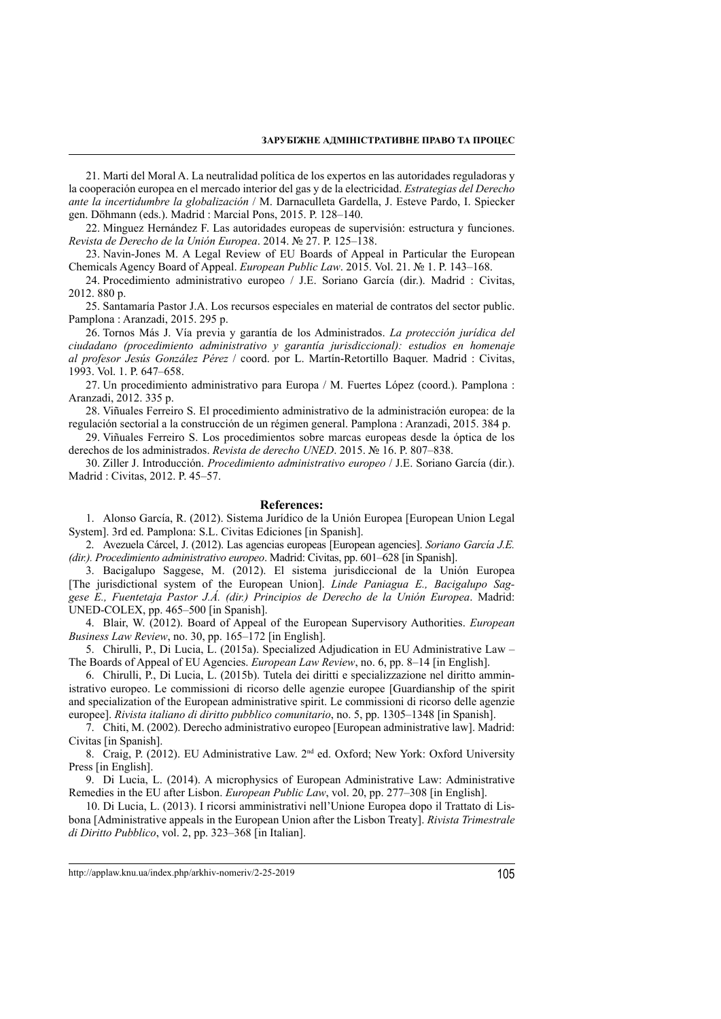21. Marti del Moral A. La neutralidad política de los expertos en las autoridades reguladoras y la cooperación europea en el mercado interior del gas y de la electricidad. *Estrategias del Derecho ante la incertidumbre la globalización* / M. Darnaculleta Gardella, J. Esteve Pardo, I. Spiecker gen. Döhmann (eds.). Madrid : Marcial Pons, 2015. P. 128–140.

22. Minguez Hernández F. Las autoridades europeas de supervisión: estructura y funciones. *Revista de Derecho de la Unión Europea*. 2014. № 27. P. 125–138.

23. Navin-Jones M. A Legal Review of EU Boards of Appeal in Particular the European Chemicals Agency Board of Appeal. *European Public Law*. 2015. Vol. 21. № 1. P. 143–168.

24. Procedimiento administrativo europeo / J.E. Soriano García (dir.). Madrid : Civitas, 2012. 880 p.

25. Santamaría Pastor J.A. Los recursos especiales en material de contratos del sector public. Pamplona : Aranzadi, 2015. 295 p.

26. Tornos Más J. Vía previa y garantía de los Administrados. *La protección jurídica del ciudadano (procedimiento administrativo y garantía jurisdiccional): estudios en homenaje al profesor Jesús González Pérez* / coord. por L. Martín-Retortillo Baquer. Madrid : Civitas, 1993. Vol. 1. P. 647–658.

27. Un procedimiento administrativo para Europa / M. Fuertes López (coord.). Pamplona : Aranzadi, 2012. 335 p.

28. Viñuales Ferreiro S. El procedimiento administrativo de la administración europea: de la regulación sectorial a la construcción de un régimen general. Pamplona : Aranzadi, 2015. 384 p.

29. Viñuales Ferreiro S. Los procedimientos sobre marcas europeas desde la óptica de los derechos de los administrados. *Revista de derecho UNED*. 2015. № 16. P. 807–838.

30. Ziller J. Introducción. *Procedimiento administrativo europeo* / J.E. Soriano García (dir.). Madrid : Civitas, 2012. P. 45–57.

#### **References:**

1. Alonso García, R. (2012). Sistema Jurídico de la Unión Europea [European Union Legal System]. 3rd ed. Pamplona: S.L. Civitas Ediciones [in Spanish].

2. Avezuela Cárcel, J. (2012). Las agencias europeas [European agencies]. *Soriano García J.E. (dir.). Procedimiento administrativo europeo*. Madrid: Civitas, pp. 601–628 [in Spanish].

3. Bacigalupo Saggese, M. (2012). El sistema jurisdiccional de la Unión Europea [The jurisdictional system of the European Union]. *Linde Paniagua E., Bacigalupo Saggese E., Fuentetaja Pastor J.Á. (dir.) Principios de Derecho de la Unión Europea*. Madrid: UNED-COLEX, pp. 465–500 [in Spanish].

4. Blair, W. (2012). Board of Appeal of the European Supervisory Authorities. *European Business Law Review*, no. 30, pp. 165–172 [in English].

5. Chirulli, P., Di Lucia, L. (2015a). Specialized Adjudication in EU Administrative Law – The Boards of Appeal of EU Agencies. *European Law Review*, no. 6, pp. 8–14 [in English].

6. Chirulli, P., Di Lucia, L. (2015b). Tutela dei diritti e specializzazione nel diritto amministrativo europeo. Le commissioni di ricorso delle agenzie europee [Guardianship of the spirit and specialization of the European administrative spirit. Le commissioni di ricorso delle agenzie europee]. *Rivista italiano di diritto pubblico comunitario*, no. 5, pp. 1305–1348 [in Spanish].

7. Chiti, M. (2002). Derecho administrativo europeo [European administrative law]. Madrid: Civitas [in Spanish].

8. Craig, P. (2012). EU Administrative Law.  $2<sup>nd</sup>$  ed. Oxford; New York: Oxford University Press [in English].

9. Di Lucia, L. (2014). A microphysics of European Administrative Law: Administrative Remedies in the EU after Lisbon. *European Public Law*, vol. 20, pp. 277–308 [in English].

10. Di Lucia, L. (2013). I ricorsi amministrativi nell'Unione Europea dopo il Trattato di Lisbona [Administrative appeals in the European Union after the Lisbon Treaty]. *Rivista Trimestrale di Diritto Pubblico*, vol. 2, pp. 323–368 [in Italian].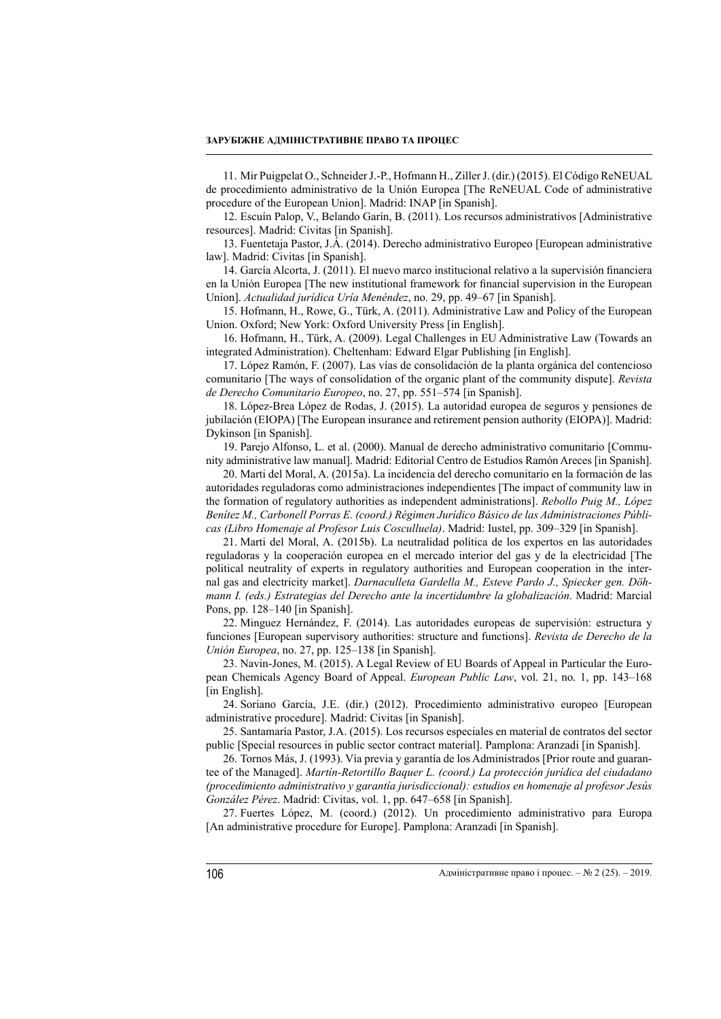11. Mir Puigpelat O., Schneider J.-P., Hofmann H., Ziller J. (dir.) (2015). El Código ReNEUAL de procedimiento administrativo de la Unión Europea [The ReNEUAL Code of administrative procedure of the European Union]. Madrid: INAP [in Spanish].

12. Escuín Palop, V., Belando Garín, B. (2011). Los recursos administrativos [Administrative resources]. Madrid: Civitas [in Spanish].

13. Fuentetaja Pastor, J.Á. (2014). Derecho administrativo Europeo [European administrative law]. Madrid: Civitas [in Spanish].

14. García Alcorta, J. (2011). El nuevo marco institucional relativo a la supervisión financiera en la Unión Europea [The new institutional framework for financial supervision in the European Union]. *Actualidad jurídica Uría Menéndez*, no. 29, pp. 49–67 [in Spanish].

15. Hofmann, H., Rowe, G., Türk, A. (2011). Administrative Law and Policy of the European Union. Oxford; New York: Oxford University Press [in English].

16. Hofmann, H., Türk, A. (2009). Legal Challenges in EU Administrative Law (Towards an integrated Administration). Cheltenham: Edward Elgar Publishing [in English].

17. López Ramón, F. (2007). Las vías de consolidación de la planta orgánica del contencioso comunitario [The ways of consolidation of the organic plant of the community dispute]. *Revista de Derecho Comunitario Europeo*, no. 27, pp. 551–574 [in Spanish].

18. López-Brea López de Rodas, J. (2015). La autoridad europea de seguros y pensiones de jubilación (EIOPA) [The European insurance and retirement pension authority (EIOPA)]. Madrid: Dykinson [in Spanish].

19. Parejo Alfonso, L. et al. (2000). Manual de derecho administrativo comunitario [Community administrative law manual]. Madrid: Editorial Centro de Estudios Ramón Areces [in Spanish].

20. Marti del Moral, A. (2015a). La incidencia del derecho comunitario en la formación de las autoridades reguladoras como administraciones independientes [The impact of community law in the formation of regulatory authorities as independent administrations]. *Rebollo Puig M., López Benítez M., Carbonell Porras E. (coord.) Régimen Jurídico Básico de las Administraciones Públicas (Libro Homenaje al Profesor Luis Cosculluela)*. Madrid: Iustel, pp. 309–329 [in Spanish].

21. Marti del Moral, A. (2015b). La neutralidad política de los expertos en las autoridades reguladoras y la cooperación europea en el mercado interior del gas y de la electricidad [The political neutrality of experts in regulatory authorities and European cooperation in the internal gas and electricity market]. *Darnaculleta Gardella M., Esteve Pardo J., Spiecker gen. Döhmann I. (eds.) Estrategias del Derecho ante la incertidumbre la globalización*. Madrid: Marcial Pons, pp. 128–140 [in Spanish].

22. Minguez Hernández, F. (2014). Las autoridades europeas de supervisión: estructura y funciones [European supervisory authorities: structure and functions]. *Revista de Derecho de la Unión Europea*, no. 27, pp. 125–138 [in Spanish].

23. Navin-Jones, M. (2015). A Legal Review of EU Boards of Appeal in Particular the European Chemicals Agency Board of Appeal. *European Public Law*, vol. 21, no. 1, pp. 143–168 [in English].

24. Soriano García, J.E. (dir.) (2012). Procedimiento administrativo europeo [European administrative procedure]. Madrid: Civitas [in Spanish].

25. Santamaría Pastor, J.A. (2015). Los recursos especiales en material de contratos del sector public [Special resources in public sector contract material]. Pamplona: Aranzadi [in Spanish].

26. Tornos Más, J. (1993). Vía previa y garantía de los Administrados [Prior route and guarantee of the Managed]. *Martín-Retortillo Baquer L. (coord.) La protección jurídica del ciudadano (procedimiento administrativo y garantía jurisdiccional): estudios en homenaje al profesor Jesús González Pérez*. Madrid: Civitas, vol. 1, pp. 647–658 [in Spanish].

27. Fuertes López, M. (coord.) (2012). Un procedimiento administrativo para Europa [An administrative procedure for Europe]. Pamplona: Aranzadi [in Spanish].